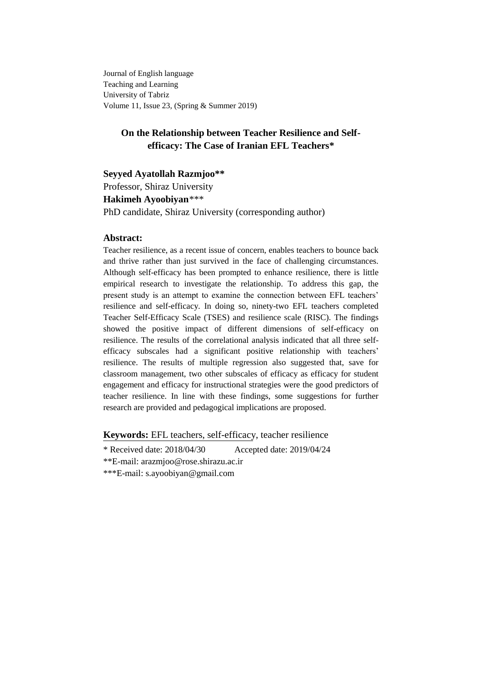Journal of English language Teaching and Learning University of Tabriz Volume 11, Issue 23, (Spring & Summer 2019)

# **On the Relationship between Teacher Resilience and Selfefficacy: The Case of Iranian EFL Teachers\***

## **Seyyed Ayatollah Razmjoo\*\***

Professor, Shiraz University

## **Hakimeh Ayoobiyan***\*\*\**

PhD candidate, Shiraz University (corresponding author)

## **Abstract:**

Teacher resilience, as a recent issue of concern, enables teachers to bounce back and thrive rather than just survived in the face of challenging circumstances. Although self-efficacy has been prompted to enhance resilience, there is little empirical research to investigate the relationship. To address this gap, the present study is an attempt to examine the connection between EFL teachers' resilience and self-efficacy. In doing so, ninety-two EFL teachers completed Teacher Self-Efficacy Scale (TSES) and resilience scale (RISC). The findings showed the positive impact of different dimensions of self-efficacy on resilience. The results of the correlational analysis indicated that all three selfefficacy subscales had a significant positive relationship with teachers' resilience. The results of multiple regression also suggested that, save for classroom management, two other subscales of efficacy as efficacy for student engagement and efficacy for instructional strategies were the good predictors of teacher resilience. In line with these findings, some suggestions for further research are provided and pedagogical implications are proposed.

**Keywords:** EFL teachers, self-efficacy, teacher resilience

\* Received date: 2018/04/30 Accepted date: 2019/04/24

\*\*E-mail: arazmjoo@rose.shirazu.ac.ir

\*\*\*E-mail: s.ayoobiyan@gmail.com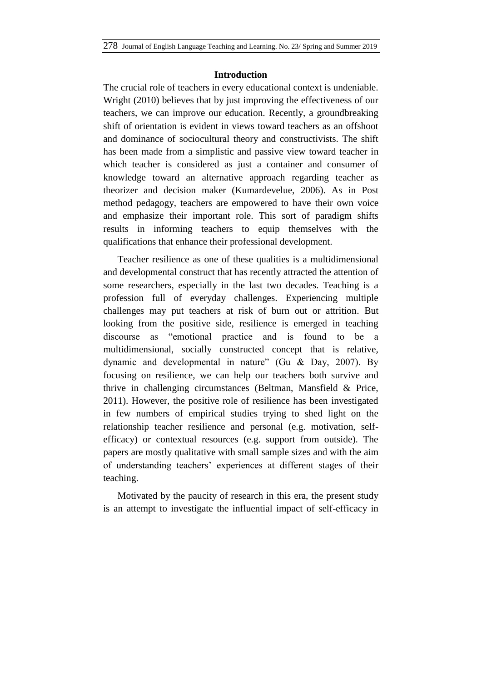## **Introduction**

The crucial role of teachers in every educational context is undeniable. Wright (2010) believes that by just improving the effectiveness of our teachers, we can improve our education. Recently, a groundbreaking shift of orientation is evident in views toward teachers as an offshoot and dominance of sociocultural theory and constructivists. The shift has been made from a simplistic and passive view toward teacher in which teacher is considered as just a container and consumer of knowledge toward an alternative approach regarding teacher as theorizer and decision maker (Kumardevelue, 2006). As in Post method pedagogy, teachers are empowered to have their own voice and emphasize their important role. This sort of paradigm shifts results in informing teachers to equip themselves with the qualifications that enhance their professional development.

Teacher resilience as one of these qualities is a multidimensional and developmental construct that has recently attracted the attention of some researchers, especially in the last two decades. Teaching is a profession full of everyday challenges. Experiencing multiple challenges may put teachers at risk of burn out or attrition. But looking from the positive side, resilience is emerged in teaching discourse as "emotional practice and is found to be a multidimensional, socially constructed concept that is relative, dynamic and developmental in nature" (Gu & Day, 2007). By focusing on resilience, we can help our teachers both survive and thrive in challenging circumstances (Beltman, Mansfield & Price, 2011). However, the positive role of resilience has been investigated in few numbers of empirical studies trying to shed light on the relationship teacher resilience and personal (e.g. motivation, selfefficacy) or contextual resources (e.g. support from outside). The papers are mostly qualitative with small sample sizes and with the aim of understanding teachers' experiences at different stages of their teaching.

Motivated by the paucity of research in this era, the present study is an attempt to investigate the influential impact of self-efficacy in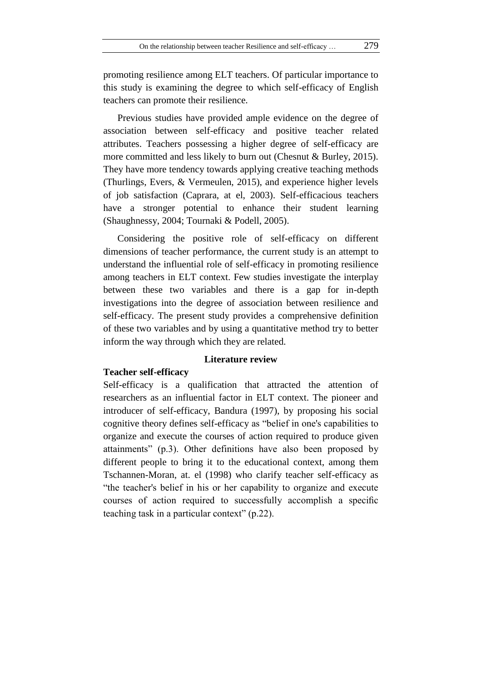promoting resilience among ELT teachers. Of particular importance to this study is examining the degree to which self-efficacy of English teachers can promote their resilience.

Previous studies have provided ample evidence on the degree of association between self-efficacy and positive teacher related attributes. Teachers possessing a higher degree of self-efficacy are more committed and less likely to burn out (Chesnut & Burley, 2015). They have more tendency towards applying creative teaching methods (Thurlings, Evers, & Vermeulen, 2015), and experience higher levels of job satisfaction (Caprara, at el, 2003). Self-efficacious teachers have a stronger potential to enhance their student learning (Shaughnessy, 2004; Tournaki & Podell, 2005).

Considering the positive role of self-efficacy on different dimensions of teacher performance, the current study is an attempt to understand the influential role of self-efficacy in promoting resilience among teachers in ELT context. Few studies investigate the interplay between these two variables and there is a gap for in-depth investigations into the degree of association between resilience and self-efficacy. The present study provides a comprehensive definition of these two variables and by using a quantitative method try to better inform the way through which they are related.

## **Literature review**

## **Teacher self-efficacy**

Self-efficacy is a qualification that attracted the attention of researchers as an influential factor in ELT context. The pioneer and introducer of self-efficacy, Bandura (1997), by proposing his social cognitive theory defines self-efficacy as "belief in one's capabilities to organize and execute the courses of action required to produce given attainments" (p.3). Other definitions have also been proposed by different people to bring it to the educational context, among them Tschannen-Moran, at. el (1998) who clarify teacher self-efficacy as "the teacher's belief in his or her capability to organize and execute courses of action required to successfully accomplish a specific teaching task in a particular context" (p.22).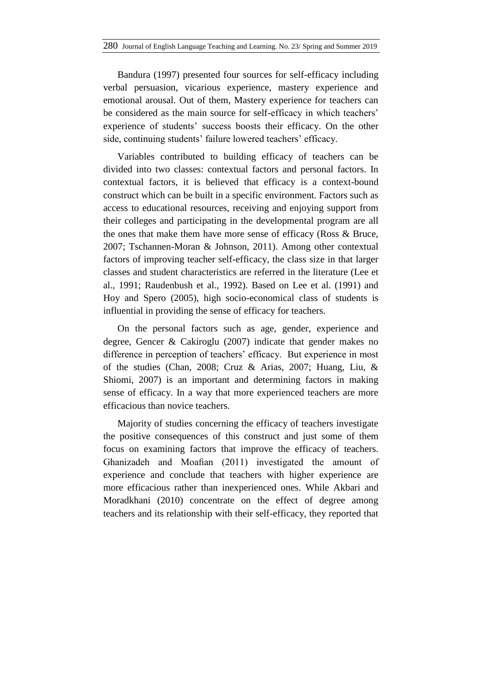Bandura (1997) presented four sources for self-efficacy including verbal persuasion, vicarious experience, mastery experience and emotional arousal. Out of them, Mastery experience for teachers can be considered as the main source for self-efficacy in which teachers' experience of students' success boosts their efficacy. On the other side, continuing students' failure lowered teachers' efficacy.

Variables contributed to building efficacy of teachers can be divided into two classes: contextual factors and personal factors. In contextual factors, it is believed that efficacy is a context-bound construct which can be built in a specific environment. Factors such as access to educational resources, receiving and enjoying support from their colleges and participating in the developmental program are all the ones that make them have more sense of efficacy (Ross & Bruce, 2007; Tschannen-Moran & Johnson, 2011). Among other contextual factors of improving teacher self-efficacy, the class size in that larger classes and student characteristics are referred in the literature (Lee et al., 1991; Raudenbush et al., 1992). Based on Lee et al. (1991) and Hoy and Spero (2005), high socio-economical class of students is influential in providing the sense of efficacy for teachers.

On the personal factors such as age, gender, experience and degree, Gencer & Cakiroglu (2007) indicate that gender makes no difference in perception of teachers' efficacy. But experience in most of the studies (Chan, 2008; Cruz & Arias, 2007; Huang, Liu, & Shiomi, 2007) is an important and determining factors in making sense of efficacy. In a way that more experienced teachers are more efficacious than novice teachers.

Majority of studies concerning the efficacy of teachers investigate the positive consequences of this construct and just some of them focus on examining factors that improve the efficacy of teachers. Ghanizadeh and Moafian (2011) investigated the amount of experience and conclude that teachers with higher experience are more efficacious rather than inexperienced ones. While Akbari and Moradkhani (2010) concentrate on the effect of degree among teachers and its relationship with their self-efficacy, they reported that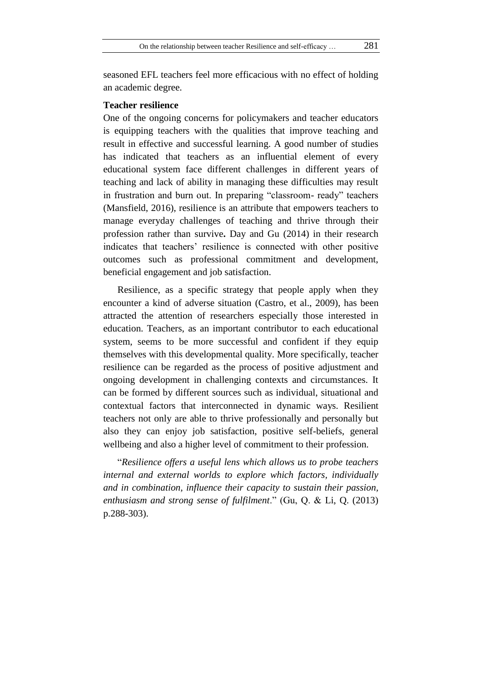seasoned EFL teachers feel more efficacious with no effect of holding an academic degree.

## **Teacher resilience**

One of the ongoing concerns for policymakers and teacher educators is equipping teachers with the qualities that improve teaching and result in effective and successful learning. A good number of studies has indicated that teachers as an influential element of every educational system face different challenges in different years of teaching and lack of ability in managing these difficulties may result in frustration and burn out. In preparing "classroom- ready" teachers (Mansfield, 2016), resilience is an attribute that empowers teachers to manage everyday challenges of teaching and thrive through their profession rather than survive**.** Day and Gu (2014) in their research indicates that teachers' resilience is connected with other positive outcomes such as professional commitment and development, beneficial engagement and job satisfaction.

Resilience, as a specific strategy that people apply when they encounter a kind of adverse situation (Castro, et al., 2009), has been attracted the attention of researchers especially those interested in education. Teachers, as an important contributor to each educational system, seems to be more successful and confident if they equip themselves with this developmental quality. More specifically, teacher resilience can be regarded as the process of positive adjustment and ongoing development in challenging contexts and circumstances. It can be formed by different sources such as individual, situational and contextual factors that interconnected in dynamic ways. Resilient teachers not only are able to thrive professionally and personally but also they can enjoy job satisfaction, positive self-beliefs, general wellbeing and also a higher level of commitment to their profession.

"*Resilience offers a useful lens which allows us to probe teachers internal and external worlds to explore which factors, individually and in combination, influence their capacity to sustain their passion, enthusiasm and strong sense of fulfilment*." (Gu, Q. & Li, Q. (2013) p.288-303).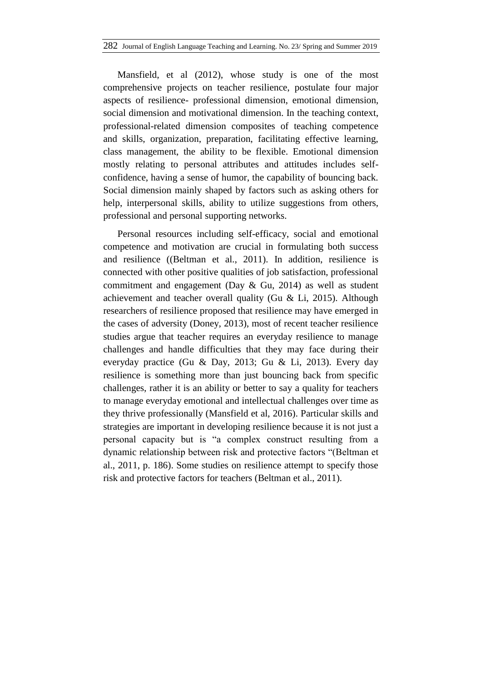Mansfield, et al (2012), whose study is one of the most comprehensive projects on teacher resilience, postulate four major aspects of resilience- professional dimension, emotional dimension, social dimension and motivational dimension. In the teaching context, professional-related dimension composites of teaching competence and skills, organization, preparation, facilitating effective learning, class management, the ability to be flexible. Emotional dimension mostly relating to personal attributes and attitudes includes selfconfidence, having a sense of humor, the capability of bouncing back. Social dimension mainly shaped by factors such as asking others for help, interpersonal skills, ability to utilize suggestions from others, professional and personal supporting networks.

Personal resources including self-efficacy, social and emotional competence and motivation are crucial in formulating both success and resilience ((Beltman et al., 2011). In addition, resilience is connected with other positive qualities of job satisfaction, professional commitment and engagement (Day & Gu, 2014) as well as student achievement and teacher overall quality (Gu & Li, 2015). Although researchers of resilience proposed that resilience may have emerged in the cases of adversity (Doney, 2013), most of recent teacher resilience studies argue that teacher requires an everyday resilience to manage challenges and handle difficulties that they may face during their everyday practice (Gu & Day, 2013; Gu & Li, 2013). Every day resilience is something more than just bouncing back from specific challenges, rather it is an ability or better to say a quality for teachers to manage everyday emotional and intellectual challenges over time as they thrive professionally (Mansfield et al, 2016). Particular skills and strategies are important in developing resilience because it is not just a personal capacity but is "a complex construct resulting from a dynamic relationship between risk and protective factors "(Beltman et al., 2011, p. 186). Some studies on resilience attempt to specify those risk and protective factors for teachers (Beltman et al., 2011).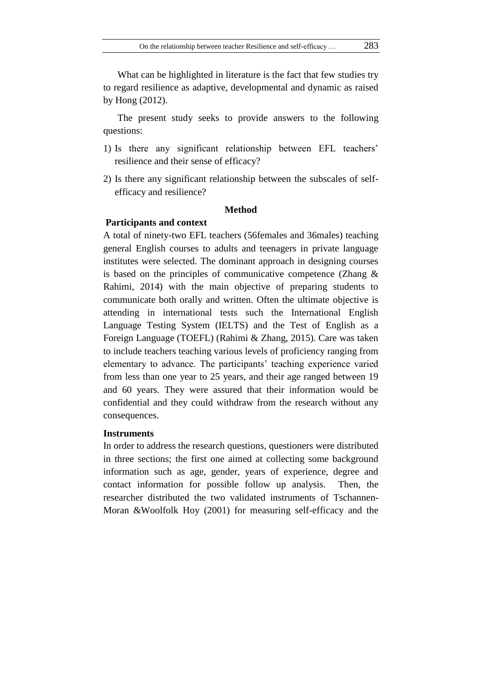What can be highlighted in literature is the fact that few studies try to regard resilience as adaptive, developmental and dynamic as raised by Hong (2012).

The present study seeks to provide answers to the following questions:

- 1) Is there any significant relationship between EFL teachers' resilience and their sense of efficacy?
- 2) Is there any significant relationship between the subscales of selfefficacy and resilience?

## **Method**

#### **Participants and context**

A total of ninety-two EFL teachers (56females and 36males) teaching general English courses to adults and teenagers in private language institutes were selected. The dominant approach in designing courses is based on the principles of communicative competence (Zhang & Rahimi, 2014) with the main objective of preparing students to communicate both orally and written. Often the ultimate objective is attending in international tests such the International English Language Testing System (IELTS) and the Test of English as a Foreign Language (TOEFL) (Rahimi & Zhang, 2015). Care was taken to include teachers teaching various levels of proficiency ranging from elementary to advance. The participants' teaching experience varied from less than one year to 25 years, and their age ranged between 19 and 60 years. They were assured that their information would be confidential and they could withdraw from the research without any consequences.

#### **Instruments**

In order to address the research questions, questioners were distributed in three sections; the first one aimed at collecting some background information such as age, gender, years of experience, degree and contact information for possible follow up analysis. Then, the researcher distributed the two validated instruments of Tschannen-Moran &Woolfolk Hoy (2001) for measuring self-efficacy and the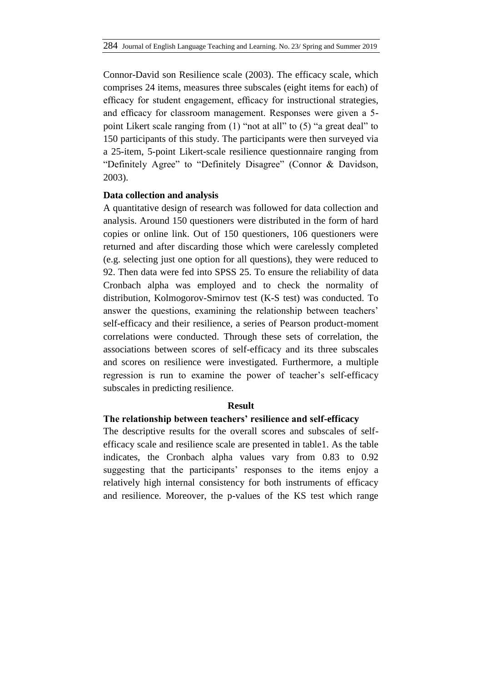Connor-David son Resilience scale (2003). The efficacy scale, which comprises 24 items, measures three subscales (eight items for each) of efficacy for student engagement, efficacy for instructional strategies, and efficacy for classroom management. Responses were given a 5 point Likert scale ranging from (1) "not at all" to (5) "a great deal" to 150 participants of this study. The participants were then surveyed via a 25-item, 5-point Likert-scale resilience questionnaire ranging from "Definitely Agree" to "Definitely Disagree" (Connor & Davidson, 2003).

## **Data collection and analysis**

A quantitative design of research was followed for data collection and analysis. Around 150 questioners were distributed in the form of hard copies or online link. Out of 150 questioners, 106 questioners were returned and after discarding those which were carelessly completed (e.g. selecting just one option for all questions), they were reduced to 92. Then data were fed into SPSS 25. To ensure the reliability of data Cronbach alpha was employed and to check the normality of distribution, Kolmogorov-Smirnov test (K-S test) was conducted. To answer the questions, examining the relationship between teachers' self-efficacy and their resilience, a series of Pearson product-moment correlations were conducted. Through these sets of correlation, the associations between scores of self-efficacy and its three subscales and scores on resilience were investigated. Furthermore, a multiple regression is run to examine the power of teacher's self-efficacy subscales in predicting resilience.

## **Result**

## **The relationship between teachers' resilience and self-efficacy**

The descriptive results for the overall scores and subscales of selfefficacy scale and resilience scale are presented in table1. As the table indicates, the Cronbach alpha values vary from 0.83 to 0.92 suggesting that the participants' responses to the items enjoy a relatively high internal consistency for both instruments of efficacy and resilience. Moreover, the p-values of the KS test which range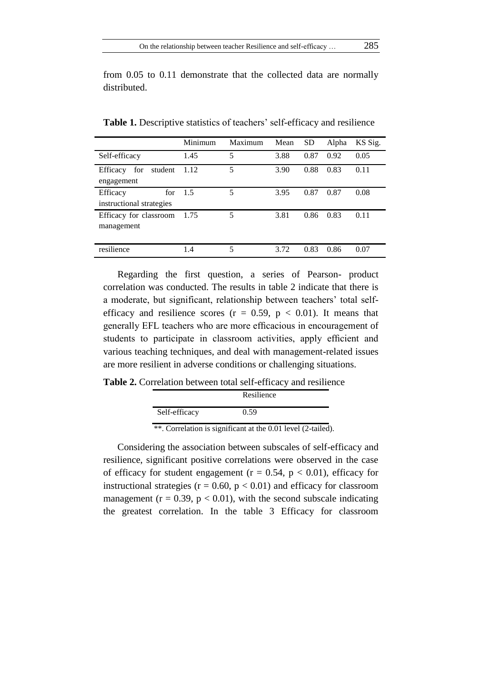from 0.05 to 0.11 demonstrate that the collected data are normally distributed.

|                            | Minimum | Maximum | Mean | <b>SD</b> | Alpha | KS Sig. |
|----------------------------|---------|---------|------|-----------|-------|---------|
| Self-efficacy              | 1.45    | 5       | 3.88 | 0.87      | 0.92  | 0.05    |
| for<br>student<br>Efficacy | 1.12    | 5       | 3.90 | 0.88      | 0.83  | 0.11    |
| engagement                 |         |         |      |           |       |         |
| Efficacy<br>for            | 1.5     | 5       | 3.95 | 0.87      | 0.87  | 0.08    |
| instructional strategies   |         |         |      |           |       |         |
| Efficacy for classroom     | 1.75    | 5       | 3.81 | 0.86      | 0.83  | 0.11    |
| management                 |         |         |      |           |       |         |
|                            |         |         |      |           |       |         |
| resilience                 | 1.4     | 5       | 3.72 | 0.83      | 0.86  | 0.07    |

**Table 1.** Descriptive statistics of teachers' self-efficacy and resilience

Regarding the first question, a series of Pearson- product correlation was conducted. The results in table 2 indicate that there is a moderate, but significant, relationship between teachers' total selfefficacy and resilience scores ( $r = 0.59$ ,  $p < 0.01$ ). It means that generally EFL teachers who are more efficacious in encouragement of students to participate in classroom activities, apply efficient and various teaching techniques, and deal with management-related issues are more resilient in adverse conditions or challenging situations.

**Table 2.** Correlation between total self-efficacy and resilience

|                                                                  | Resilience                                                                                                                                          |
|------------------------------------------------------------------|-----------------------------------------------------------------------------------------------------------------------------------------------------|
| Self-efficacy                                                    | 0.59                                                                                                                                                |
| the contract of the contract of<br>the control of the control of | the contract of the contract of<br>the contract of the contract of the contract of the contract of<br>the property of the control of the control of |

\*\*. Correlation is significant at the 0.01 level (2-tailed).

Considering the association between subscales of self-efficacy and resilience, significant positive correlations were observed in the case of efficacy for student engagement ( $r = 0.54$ ,  $p < 0.01$ ), efficacy for instructional strategies ( $r = 0.60$ ,  $p < 0.01$ ) and efficacy for classroom management ( $r = 0.39$ ,  $p < 0.01$ ), with the second subscale indicating the greatest correlation. In the table 3 Efficacy for classroom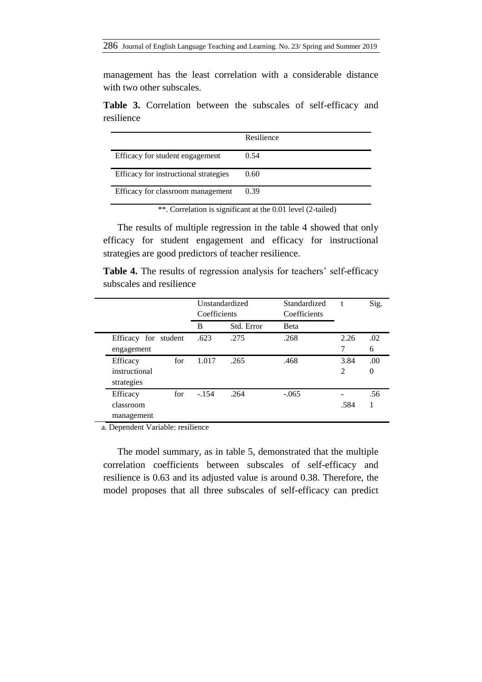management has the least correlation with a considerable distance with two other subscales.

**Table 3.** Correlation between the subscales of self-efficacy and resilience

|                                       | Resilience |
|---------------------------------------|------------|
| Efficacy for student engagement       | 0.54       |
| Efficacy for instructional strategies | 0.60       |
| Efficacy for classroom management     | 0.39       |

\*\*. Correlation is significant at the 0.01 level (2-tailed)

The results of multiple regression in the table 4 showed that only efficacy for student engagement and efficacy for instructional strategies are good predictors of teacher resilience.

**Table 4.** The results of regression analysis for teachers' self-efficacy subscales and resilience

|                      | Unstandardized<br>Coefficients |            | Standardized<br>Coefficients | t    | Sig.             |
|----------------------|--------------------------------|------------|------------------------------|------|------------------|
|                      | B                              | Std. Error | <b>B</b> eta                 |      |                  |
| Efficacy for student | .623                           | .275       | .268                         | 2.26 | .02              |
| engagement           |                                |            |                              | 7    | 6                |
| for<br>Efficacy      | 1.017                          | .265       | .468                         | 3.84 | .00.             |
| instructional        |                                |            |                              | 2    | $\boldsymbol{0}$ |
| strategies           |                                |            |                              |      |                  |
| for<br>Efficacy      | $-.154$                        | .264       | $-.065$                      |      | .56              |
| classroom            |                                |            |                              | .584 | 1                |
| management           |                                |            |                              |      |                  |

a. Dependent Variable: resilience

The model summary, as in table 5, demonstrated that the multiple correlation coefficients between subscales of self-efficacy and resilience is 0.63 and its adjusted value is around 0.38. Therefore, the model proposes that all three subscales of self-efficacy can predict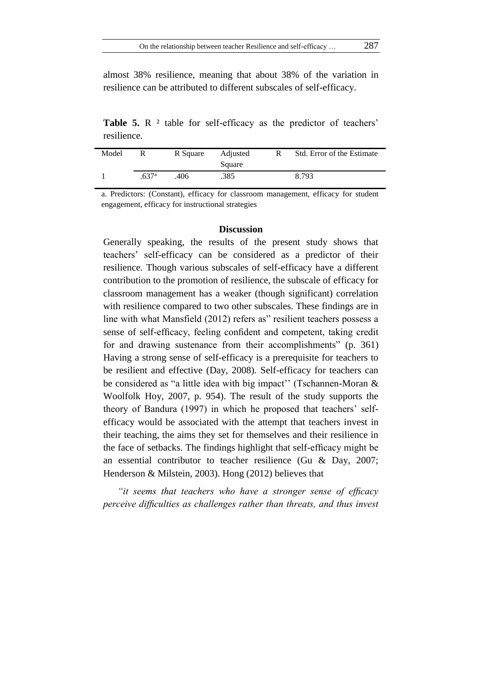almost 38% resilience, meaning that about 38% of the variation in resilience can be attributed to different subscales of self-efficacy.

**Table 5.** R <sup>2</sup> table for self-efficacy as the predictor of teachers' resilience.

| Model | R                 | R Square | Adjusted<br>Square | R | Std. Error of the Estimate |
|-------|-------------------|----------|--------------------|---|----------------------------|
|       | .637 <sup>a</sup> | .406     | .385               |   | 8.793                      |

a. Predictors: (Constant), efficacy for classroom management, efficacy for student engagement, efficacy for instructional strategies

### **Discussion**

Generally speaking, the results of the present study shows that teachers' self-efficacy can be considered as a predictor of their resilience. Though various subscales of self-efficacy have a different contribution to the promotion of resilience, the subscale of efficacy for classroom management has a weaker (though significant) correlation with resilience compared to two other subscales. These findings are in line with what Mansfield (2012) refers as" resilient teachers possess a sense of self-efficacy, feeling confident and competent, taking credit for and drawing sustenance from their accomplishments" (p. 361) Having a strong sense of self-efficacy is a prerequisite for teachers to be resilient and effective (Day, 2008). Self-efficacy for teachers can be considered as "a little idea with big impact'' (Tschannen-Moran & Woolfolk Hoy, 2007, p. 954). The result of the study supports the theory of Bandura (1997) in which he proposed that teachers' selfefficacy would be associated with the attempt that teachers invest in their teaching, the aims they set for themselves and their resilience in the face of setbacks. The findings highlight that self-efficacy might be an essential contributor to teacher resilience (Gu & Day, 2007; Henderson & Milstein, 2003). Hong (2012) believes that

*"it seems that teachers who have a stronger sense of efficacy perceive difficulties as challenges rather than threats, and thus invest*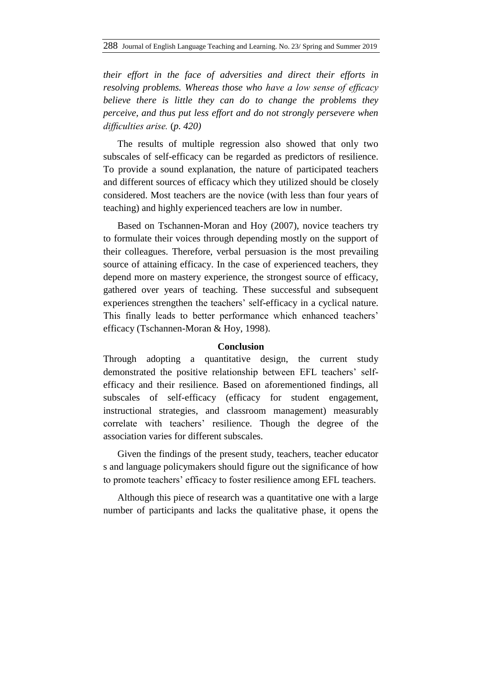*their effort in the face of adversities and direct their efforts in resolving problems. Whereas those who have a low sense of efficacy believe there is little they can do to change the problems they perceive, and thus put less effort and do not strongly persevere when difficulties arise.* (*p. 420)*

The results of multiple regression also showed that only two subscales of self-efficacy can be regarded as predictors of resilience. To provide a sound explanation, the nature of participated teachers and different sources of efficacy which they utilized should be closely considered. Most teachers are the novice (with less than four years of teaching) and highly experienced teachers are low in number.

Based on Tschannen-Moran and Hoy (2007), novice teachers try to formulate their voices through depending mostly on the support of their colleagues. Therefore, verbal persuasion is the most prevailing source of attaining efficacy. In the case of experienced teachers, they depend more on mastery experience, the strongest source of efficacy, gathered over years of teaching. These successful and subsequent experiences strengthen the teachers' self-efficacy in a cyclical nature. This finally leads to better performance which enhanced teachers' efficacy (Tschannen-Moran & Hoy, 1998).

## **Conclusion**

Through adopting a quantitative design, the current study demonstrated the positive relationship between EFL teachers' selfefficacy and their resilience. Based on aforementioned findings, all subscales of self-efficacy (efficacy for student engagement, instructional strategies, and classroom management) measurably correlate with teachers' resilience. Though the degree of the association varies for different subscales.

Given the findings of the present study, teachers, teacher educator s and language policymakers should figure out the significance of how to promote teachers' efficacy to foster resilience among EFL teachers.

Although this piece of research was a quantitative one with a large number of participants and lacks the qualitative phase, it opens the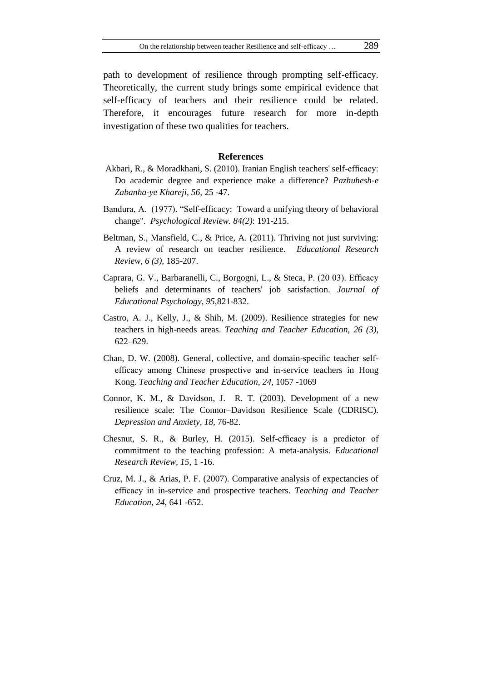path to development of resilience through prompting self-efficacy. Theoretically, the current study brings some empirical evidence that self-efficacy of teachers and their resilience could be related. Therefore, it encourages future research for more in-depth investigation of these two qualities for teachers.

#### **References**

- Akbari, R., & Moradkhani, S. (2010). Iranian English teachers' self-efficacy: Do academic degree and experience make a difference? *Pazhuhesh-e Zabanha-ye Khareji, 56,* 25 -47.
- Bandura, A. (1977). "Self-efficacy: Toward a unifying theory of behavioral change". *Psychological Review. 84(2)*: 191-215.
- Beltman, S., Mansfield, C., & Price, A. (2011). Thriving not just surviving: A review of research on teacher resilience*. Educational Research Review, 6 (3),* 185-207.
- Caprara, G. V., Barbaranelli, C., Borgogni, L., & Steca, P. (20 03). Efficacy beliefs and determinants of teachers' job satisfaction. *Journal of Educational Psychology, 95,*821-832.
- Castro, A. J., Kelly, J., & Shih, M. (2009). Resilience strategies for new teachers in high-needs areas. *Teaching and Teacher Education, 26 (3),* 622–629.
- Chan, D. W. (2008). General, collective, and domain-specific teacher selfefficacy among Chinese prospective and in-service teachers in Hong Kong. *Teaching and Teacher Education, 24,* 1057 -1069
- Connor, K. M., & Davidson, J. R. T. (2003). Development of a new resilience scale: The Connor–Davidson Resilience Scale (CDRISC). *Depression and Anxiety, 18,* 76-82.
- Chesnut, S. R., & Burley, H. (2015). Self-efficacy is a predictor of commitment to the teaching profession: A meta-analysis. *Educational Research Review, 15*, 1 -16.
- Cruz, M. J., & Arias, P. F. (2007). Comparative analysis of expectancies of efficacy in in-service and prospective teachers. *Teaching and Teacher Education, 24*, 641 -652.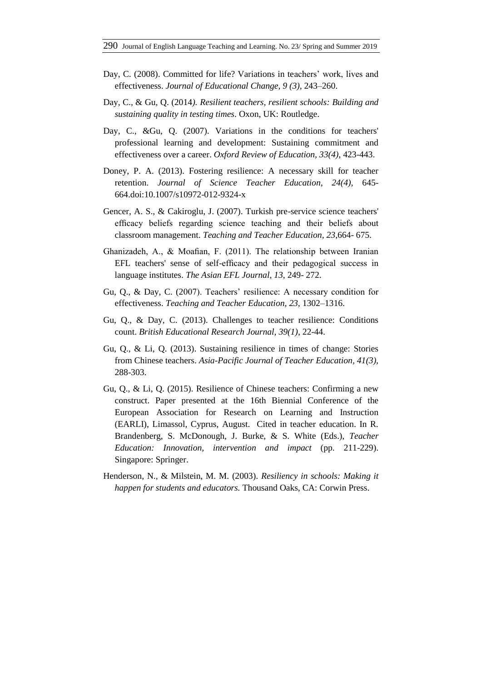- Day, C. (2008). Committed for life? Variations in teachers' work, lives and effectiveness. *Journal of Educational Change, 9 (3),* 243–260.
- Day, C., & Gu, Q. (2014*). Resilient teachers, resilient schools: Building and sustaining quality in testing times*. Oxon, UK: Routledge.
- Day, C., &Gu, Q. (2007). Variations in the conditions for teachers' professional learning and development: Sustaining commitment and effectiveness over a career. *Oxford Review of Education, 33(4),* 423-443.
- Doney, P. A. (2013). Fostering resilience: A necessary skill for teacher retention. *Journal of Science Teacher Education, 24(4),* 645- 664.doi:10.1007/s10972-012-9324-x
- Gencer, A. S., & Cakiroglu, J. (2007). Turkish pre-service science teachers' efficacy beliefs regarding science teaching and their beliefs about classroom management. *Teaching and Teacher Education, 23*,664- 675.
- Ghanizadeh, A., & Moafian, F. (2011). The relationship between Iranian EFL teachers' sense of self-efficacy and their pedagogical success in language institutes. *The Asian EFL Journal, 13*, 249- 272.
- Gu, Q., & Day, C. (2007). Teachers' resilience: A necessary condition for effectiveness. *Teaching and Teacher Education, 23,* 1302–1316.
- Gu, Q., & Day, C. (2013). Challenges to teacher resilience: Conditions count. *British Educational Research Journal, 39(1)*, 22-44.
- Gu, Q., & Li, Q. (2013). Sustaining resilience in times of change: Stories from Chinese teachers. *Asia-Pacific Journal of Teacher Education, 41(3),* 288-303.
- Gu, Q., & Li, Q. (2015). Resilience of Chinese teachers: Confirming a new construct. Paper presented at the 16th Biennial Conference of the European Association for Research on Learning and Instruction (EARLI), Limassol, Cyprus, August. Cited in teacher education. In R. Brandenberg, S. McDonough, J. Burke, & S. White (Eds.), *Teacher Education: Innovation, intervention and impact* (pp. 211-229). Singapore: Springer.
- Henderson, N., & Milstein, M. M. (2003). *Resiliency in schools: Making it happen for students and educators.* Thousand Oaks, CA: Corwin Press.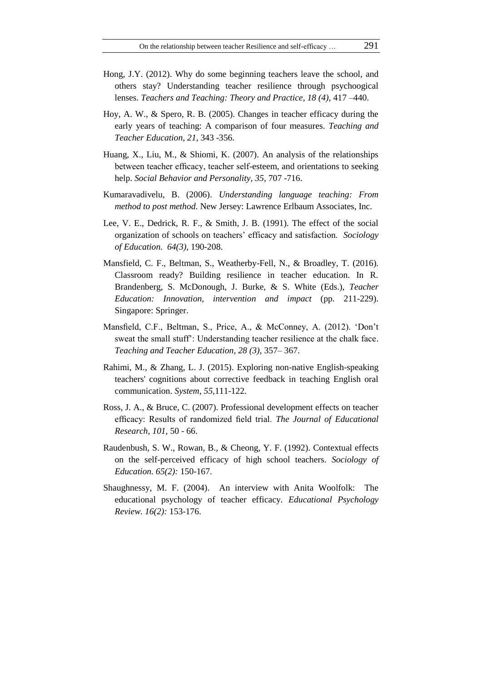- Hong, J.Y. (2012). Why do some beginning teachers leave the school, and others stay? Understanding teacher resilience through psychoogical lenses. *Teachers and Teaching: Theory and Practice, 18 (4),* 417 –440.
- Hoy, A. W., & Spero, R. B. (2005). Changes in teacher efficacy during the early years of teaching: A comparison of four measures. *Teaching and Teacher Education, 21*, 343 -356.
- Huang, X., Liu, M., & Shiomi, K. (2007). An analysis of the relationships between teacher efficacy, teacher self-esteem, and orientations to seeking help. *Social Behavior and Personality, 35*, 707 -716.
- Kumaravadivelu, B. (2006). *Understanding language teaching: From method to post method.* New Jersey: Lawrence Erlbaum Associates, Inc.
- Lee, V. E., Dedrick, R. F., & Smith, J. B. (1991). The effect of the social organization of schools on teachers' efficacy and satisfaction. *Sociology of Education. 64(3),* 190-208.
- Mansfield, C. F., Beltman, S., Weatherby-Fell, N., & Broadley, T. (2016). Classroom ready? Building resilience in teacher education. In R. Brandenberg, S. McDonough, J. Burke, & S. White (Eds.), *Teacher Education: Innovation, intervention and impact* (pp. 211-229). Singapore: Springer.
- Mansfield, C.F., Beltman, S., Price, A., & McConney, A. (2012). 'Don't sweat the small stuff': Understanding teacher resilience at the chalk face. *Teaching and Teacher Education, 28 (3),* 357– 367.
- Rahimi, M., & Zhang, L. J. (2015). Exploring non-native English-speaking teachers' cognitions about corrective feedback in teaching English oral communication. *System, 55,*111-122.
- Ross, J. A., & Bruce, C. (2007). Professional development effects on teacher efficacy: Results of randomized field trial. *The Journal of Educational Research, 101,* 50 - 66.
- Raudenbush, S. W., Rowan, B., & Cheong, Y. F. (1992). Contextual effects on the self-perceived efficacy of high school teachers. *Sociology of Education. 65(2):* 150-167.
- Shaughnessy, M. F. (2004). An interview with Anita Woolfolk: The educational psychology of teacher efficacy. *Educational Psychology Review. 16(2):* 153-176.